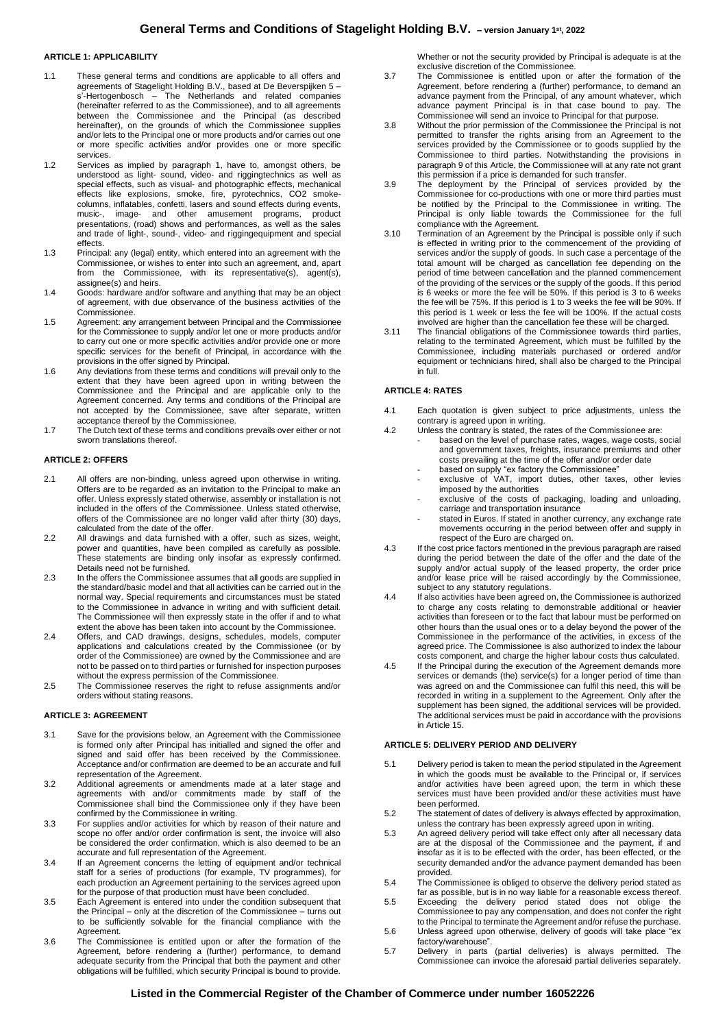## **ARTICLE 1: APPLICABILITY**

- 1.1 These general terms and conditions are applicable to all offers and agreements of Stagelight Holding B.V., based at De Beverspijken 5 – s'-Hertogenbosch – The Netherlands and related companies (hereinafter referred to as the Commissionee), and to all agreements between the Commissionee and the Principal (as described hereinafter), on the grounds of which the Commissionee supplies and/or lets to the Principal one or more products and/or carries out one or more specific activities and/or provides one or more specific services.
- 1.2 Services as implied by paragraph 1, have to, amongst others, be understood as light- sound, video- and riggingtechnics as well as special effects, such as visual- and photographic effects, mechanical effects like explosions, smoke, fire, pyrotechnics, CO2 smokecolumns, inflatables, confetti, lasers and sound effects during events, music-, image- and other amusement programs, product presentations, (road) shows and performances, as well as the sales and trade of light-, sound-, video- and riggingequipment and special effects.
- 1.3 Principal: any (legal) entity, which entered into an agreement with the Commissionee, or wishes to enter into such an agreement, and, apart from the Commissionee, with its representative(s), agent(s), assignee(s) and heirs.
- 1.4 Goods: hardware and/or software and anything that may be an object of agreement, with due observance of the business activities of the Commissionee.
- 1.5 Agreement: any arrangement between Principal and the Commissionee for the Commissionee to supply and/or let one or more products and/or to carry out one or more specific activities and/or provide one or more specific services for the benefit of Principal, in accordance with the provisions in the offer signed by Principal.
- 1.6 Any deviations from these terms and conditions will prevail only to the extent that they have been agreed upon in writing between the Commissionee and the Principal and are applicable only to the Agreement concerned. Any terms and conditions of the Principal are not accepted by the Commissionee, save after separate, written acceptance thereof by the Commissionee.
- 1.7 The Dutch text of these terms and conditions prevails over either or not sworn translations thereof.

# **ARTICLE 2: OFFERS**

- 2.1 All offers are non-binding, unless agreed upon otherwise in writing. Offers are to be regarded as an invitation to the Principal to make an offer. Unless expressly stated otherwise, assembly or installation is not included in the offers of the Commissionee. Unless stated otherwise, offers of the Commissionee are no longer valid after thirty (30) days, calculated from the date of the offer.
- 2.2 All drawings and data furnished with a offer, such as sizes, weight, power and quantities, have been compiled as carefully as possible. These statements are binding only insofar as expressly confirmed. Details need not be furnished.
- 2.3 In the offers the Commissionee assumes that all goods are supplied in the standard/basic model and that all activities can be carried out in the normal way. Special requirements and circumstances must be stated to the Commissionee in advance in writing and with sufficient detail. The Commissionee will then expressly state in the offer if and to what extent the above has been taken into account by the Commissionee.
- 2.4 Offers, and CAD drawings, designs, schedules, models, computer applications and calculations created by the Commissionee (or by order of the Commissionee) are owned by the Commissionee and are not to be passed on to third parties or furnished for inspection purposes without the express permission of the Commissionee.
- 2.5 The Commissionee reserves the right to refuse assignments and/or orders without stating reasons.

#### **ARTICLE 3: AGREEMENT**

- 3.1 Save for the provisions below, an Agreement with the Commissionee is formed only after Principal has initialled and signed the offer and signed and said offer has been received by the Commissionee. Acceptance and/or confirmation are deemed to be an accurate and full representation of the Agreement.
- 3.2 Additional agreements or amendments made at a later stage and agreements with and/or commitments made by staff of the Commissionee shall bind the Commissionee only if they have been confirmed by the Commissionee in writing.
- 3.3 For supplies and/or activities for which by reason of their nature and scope no offer and/or order confirmation is sent, the invoice will also be considered the order confirmation, which is also deemed to be an accurate and full representation of the Agreement.
- 3.4 If an Agreement concerns the letting of equipment and/or technical staff for a series of productions (for example, TV programmes), for each production an Agreement pertaining to the services agreed upon for the purpose of that production must have been concluded.
- 3.5 Each Agreement is entered into under the condition subsequent that the Principal – only at the discretion of the Commissionee – turns out to be sufficiently solvable for the financial compliance with the Agreement.
- 3.6 The Commissionee is entitled upon or after the formation of the Agreement, before rendering a (further) performance, to demand adequate security from the Principal that both the payment and other obligations will be fulfilled, which security Principal is bound to provide.

Whether or not the security provided by Principal is adequate is at the exclusive discretion of the Commissionee.

- 3.7 The Commissionee is entitled upon or after the formation of the Agreement, before rendering a (further) performance, to demand an advance payment from the Principal, of any amount whatever, which advance payment Principal is in that case bound to pay. The Commissionee will send an invoice to Principal for that purpose.
- 3.8 Without the prior permission of the Commissionee the Principal is not permitted to transfer the rights arising from an Agreement to the services provided by the Commissionee or to goods supplied by the Commissionee to third parties. Notwithstanding the provisions in paragraph 9 of this Article, the Commissionee will at any rate not grant this permission if a price is demanded for such transfer.
- 3.9 The deployment by the Principal of services provided by the Commissionee for co-productions with one or more third parties must be notified by the Principal to the Commissionee in writing. The Principal is only liable towards the Commissionee for the full compliance with the Agreement.
- 3.10 Termination of an Agreement by the Principal is possible only if such is effected in writing prior to the commencement of the providing of services and/or the supply of goods. In such case a percentage of the total amount will be charged as cancellation fee depending on the period of time between cancellation and the planned commencement of the providing of the services or the supply of the goods. If this period is 6 weeks or more the fee will be 50%. If this period is 3 to 6 weeks the fee will be 75%. If this period is 1 to 3 weeks the fee will be 90%. If this period is 1 week or less the fee will be 100%. If the actual costs involved are higher than the cancellation fee these will be charged.
- 3.11 The financial obligations of the Commissionee towards third parties, relating to the terminated Agreement, which must be fulfilled by the Commissionee, including materials purchased or ordered and/or equipment or technicians hired, shall also be charged to the Principal in full.

#### **ARTICLE 4: RATES**

- 4.1 Each quotation is given subject to price adjustments, unless the contrary is agreed upon in writing.
- 4.2 Unless the contrary is stated, the rates of the Commissionee are: based on the level of purchase rates, wages, wage costs, social and government taxes, freights, insurance premiums and other costs prevailing at the time of the offer and/or order date
	- based on supply "ex factory the Commissionee" exclusive of VAT, import duties, other taxes, other levies
	- imposed by the authorities exclusive of the costs of packaging, loading and unloading, carriage and transportation insurance
	- stated in Euros. If stated in another currency, any exchange rate movements occurring in the period between offer and supply in respect of the Euro are charged on.
- 4.3 If the cost price factors mentioned in the previous paragraph are raised during the period between the date of the offer and the date of the supply and/or actual supply of the leased property, the order price and/or lease price will be raised accordingly by the Commissionee, subject to any statutory regulations.
- 4.4 If also activities have been agreed on, the Commissionee is authorized to charge any costs relating to demonstrable additional or heavier activities than foreseen or to the fact that labour must be performed on other hours than the usual ones or to a delay beyond the power of the Commissionee in the performance of the activities, in excess of the agreed price. The Commissionee is also authorized to index the labour costs component, and charge the higher labour costs thus calculated.
- 4.5 If the Principal during the execution of the Agreement demands more services or demands (the) service(s) for a longer period of time than was agreed on and the Commissionee can fulfil this need, this will be recorded in writing in a supplement to the Agreement. Only after the supplement has been signed, the additional services will be provided. The additional services must be paid in accordance with the provisions in Article 15.

# **ARTICLE 5: DELIVERY PERIOD AND DELIVERY**

- 5.1 Delivery period is taken to mean the period stipulated in the Agreement in which the goods must be available to the Principal or, if services and/or activities have been agreed upon, the term in which these services must have been provided and/or these activities must have been performed.
- 5.2 The statement of dates of delivery is always effected by approximation, unless the contrary has been expressly agreed upon in writing.
- 5.3 An agreed delivery period will take effect only after all necessary data are at the disposal of the Commissionee and the payment, if and insofar as it is to be effected with the order, has been effected, or the security demanded and/or the advance payment demanded has been provided.
- 5.4 The Commissionee is obliged to observe the delivery period stated as far as possible, but is in no way liable for a reasonable excess thereof.
- 5.5 Exceeding the delivery period stated does not oblige the Commissionee to pay any compensation, and does not confer the right to the Principal to terminate the Agreement and/or refuse the purchase.
- 5.6 Unless agreed upon otherwise, delivery of goods will take place "ex factory/warehouse".
- 5.7 Delivery in parts (partial deliveries) is always permitted. The Commissionee can invoice the aforesaid partial deliveries separately.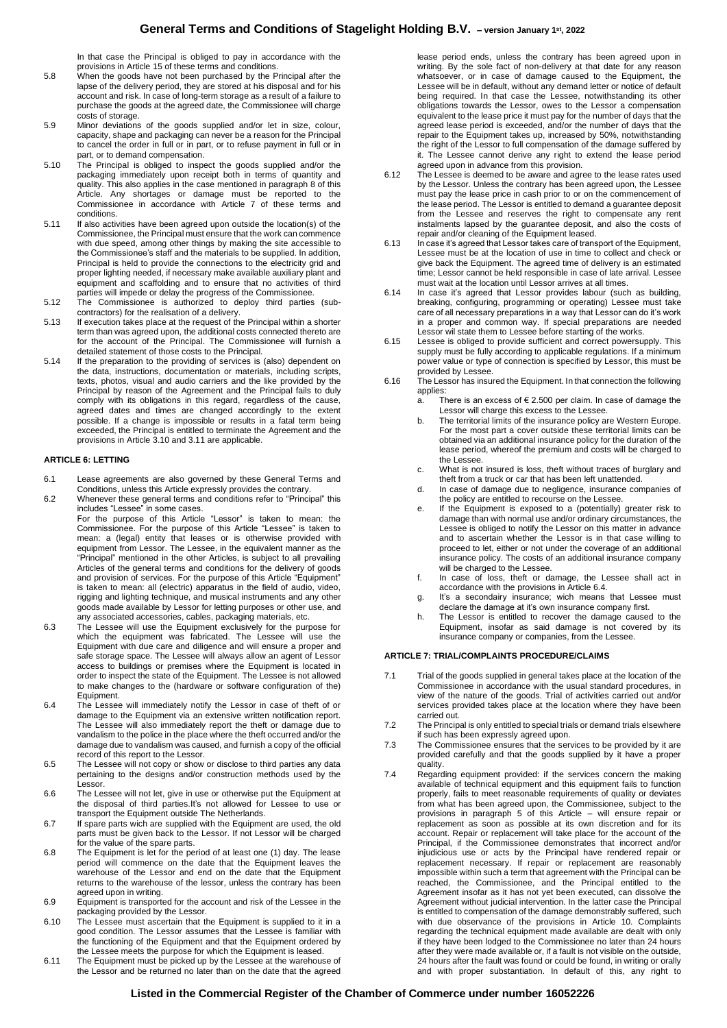# **General Terms and Conditions of Stagelight Holding B.V. – version January <sup>1</sup>st, 2022**

In that case the Principal is obliged to pay in accordance with the provisions in Article 15 of these terms and conditions.

- 5.8 When the goods have not been purchased by the Principal after the lapse of the delivery period, they are stored at his disposal and for his account and risk. In case of long-term storage as a result of a failure to purchase the goods at the agreed date, the Commissionee will charge costs of storage.
- 5.9 Minor deviations of the goods supplied and/or let in size, colour, capacity, shape and packaging can never be a reason for the Principal to cancel the order in full or in part, or to refuse payment in full or in part, or to demand compensation.
- 5.10 The Principal is obliged to inspect the goods supplied and/or the packaging immediately upon receipt both in terms of quantity and quality. This also applies in the case mentioned in paragraph 8 of this Article. Any shortages or damage must be reported to the Commissionee in accordance with Article 7 of these terms and conditions.
- 5.11 If also activities have been agreed upon outside the location(s) of the Commissionee, the Principal must ensure that the work can commence with due speed, among other things by making the site accessible to the Commissionee's staff and the materials to be supplied. In addition, Principal is held to provide the connections to the electricity grid and proper lighting needed, if necessary make available auxiliary plant and equipment and scaffolding and to ensure that no activities of third parties will impede or delay the progress of the Commissionee.
- 5.12 The Commissionee is authorized to deploy third parties (subcontractors) for the realisation of a delivery.
- 5.13 If execution takes place at the request of the Principal within a shorter term than was agreed upon, the additional costs connected thereto are for the account of the Principal. The Commissionee will furnish a detailed statement of those costs to the Principal.
- 5.14 If the preparation to the providing of services is (also) dependent on the data, instructions, documentation or materials, including scripts, texts, photos, visual and audio carriers and the like provided by the Principal by reason of the Agreement and the Principal fails to duly comply with its obligations in this regard, regardless of the cause, agreed dates and times are changed accordingly to the extent possible. If a change is impossible or results in a fatal term being exceeded, the Principal is entitled to terminate the Agreement and the provisions in Article 3.10 and 3.11 are applicable.

### **ARTICLE 6: LETTING**

- 6.1 Lease agreements are also governed by these General Terms and Conditions, unless this Article expressly provides the contrary.
- 6.2 Whenever these general terms and conditions refer to "Principal" this includes "Lessee" in some cases.

For the purpose of this Article "Lessor" is taken to mean: the Commissionee. For the purpose of this Article "Lessee" is taken to mean: a (legal) entity that leases or is otherwise provided with equipment from Lessor. The Lessee, in the equivalent manner as the "Principal" mentioned in the other Articles, is subject to all prevailing Articles of the general terms and conditions for the delivery of goods and provision of services. For the purpose of this Article "Equipment" is taken to mean: all (electric) apparatus in the field of audio, video, rigging and lighting technique, and musical instruments and any other goods made available by Lessor for letting purposes or other use, and any associated accessories, cables, packaging materials, etc.

- 6.3 The Lessee will use the Equipment exclusively for the purpose for which the equipment was fabricated. The Lessee will use the Equipment with due care and diligence and will ensure a proper and safe storage space. The Lessee will always allow an agent of Lessor access to buildings or premises where the Equipment is located in order to inspect the state of the Equipment. The Lessee is not allowed to make changes to the (hardware or software configuration of the) Equipment.
- 6.4 The Lessee will immediately notify the Lessor in case of theft of or damage to the Equipment via an extensive written notification report. The Lessee will also immediately report the theft or damage due to vandalism to the police in the place where the theft occurred and/or the damage due to vandalism was caused, and furnish a copy of the official record of this report to the Lessor.
- 6.5 The Lessee will not copy or show or disclose to third parties any data pertaining to the designs and/or construction methods used by the Lessor.
- 6.6 The Lessee will not let, give in use or otherwise put the Equipment at the disposal of third parties.It's not allowed for Lessee to use or transport the Equipment outside The Netherlands.
- 6.7 If spare parts wich are supplied with the Equipment are used, the old parts must be given back to the Lessor. If not Lessor will be charged for the value of the spare parts.
- 6.8 The Equipment is let for the period of at least one (1) day. The lease period will commence on the date that the Equipment leaves the warehouse of the Lessor and end on the date that the Equipment returns to the warehouse of the lessor, unless the contrary has been agreed upon in writing.
- 6.9 Equipment is transported for the account and risk of the Lessee in the packaging provided by the Lessor.
- 6.10 The Lessee must ascertain that the Equipment is supplied to it in a good condition. The Lessor assumes that the Lessee is familiar with the functioning of the Equipment and that the Equipment ordered by the Lessee meets the purpose for which the Equipment is leased.
- 6.11 The Equipment must be picked up by the Lessee at the warehouse of the Lessor and be returned no later than on the date that the agreed

lease period ends, unless the contrary has been agreed upon in writing. By the sole fact of non-delivery at that date for any reason whatsoever, or in case of damage caused to the Equipment, the Lessee will be in default, without any demand letter or notice of default being required. In that case the Lessee, notwithstanding its other obligations towards the Lessor, owes to the Lessor a compensation equivalent to the lease price it must pay for the number of days that the agreed lease period is exceeded, and/or the number of days that the repair to the Equipment takes up, increased by 50%, notwithstanding the right of the Lessor to full compensation of the damage suffered by it. The Lessee cannot derive any right to extend the lease period agreed upon in advance from this provision.

- 6.12 The Lessee is deemed to be aware and agree to the lease rates used by the Lessor. Unless the contrary has been agreed upon, the Lessee must pay the lease price in cash prior to or on the commencement of the lease period. The Lessor is entitled to demand a guarantee deposit from the Lessee and reserves the right to compensate any rent instalments lapsed by the guarantee deposit, and also the costs of repair and/or cleaning of the Equipment leased.
- 6.13 In case it's agreed that Lessor takes care of transport of the Equipment, Lessee must be at the location of use in time to collect and check or give back the Equipment. The agreed time of delivery is an estimated time; Lessor cannot be held responsible in case of late arrival. Lessee must wait at the location until Lessor arrives at all times.
- 6.14 In case it's agreed that Lessor provides labour (such as building, breaking, configuring, programming or operating) Lessee must take care of all necessary preparations in a way that Lessor can do it's work in a proper and common way. If special preparations are needed Lessor wil state them to Lessee before starting of the works.
- 6.15 Lessee is obliged to provide sufficient and correct powersupply. This supply must be fully according to applicable regulations. If a minimum power value or type of connection is specified by Lessor, this must be .<br>provided by Lessee
- 6.16 The Lessor has insured the Equipment. In that connection the following applies:
	- a. There is an excess of € 2.500 per claim. In case of damage the Lessor will charge this excess to the Lessee.
	- b. The territorial limits of the insurance policy are Western Europe. For the most part a cover outside these territorial limits can be obtained via an additional insurance policy for the duration of the lease period, whereof the premium and costs will be charged to the Lessee.
	- c. What is not insured is loss, theft without traces of burglary and theft from a truck or car that has been left unattended.
	- d. In case of damage due to negligence, insurance companies of the policy are entitled to recourse on the Lessee.
	- e. If the Equipment is exposed to a (potentially) greater risk to damage than with normal use and/or ordinary circumstances, the Lessee is obliged to notify the Lessor on this matter in advance and to ascertain whether the Lessor is in that case willing to proceed to let, either or not under the coverage of an additional insurance policy. The costs of an additional insurance company will be charged to the Lessee.
	- f. In case of loss, theft or damage, the Lessee shall act in accordance with the provisions in Article 6.4.
	- g. It's a secondairy insurance; wich means that Lessee must declare the damage at it's own insurance company first.
	- h. The Lessor is entitled to recover the damage caused to the Equipment, insofar as said damage is not covered by its insurance company or companies, from the Lessee.

## **ARTICLE 7: TRIAL/COMPLAINTS PROCEDURE/CLAIMS**

- 7.1 Trial of the goods supplied in general takes place at the location of the Commissionee in accordance with the usual standard procedures, in view of the nature of the goods. Trial of activities carried out and/or services provided takes place at the location where they have been carried out.
- 7.2 The Principal is only entitled to special trials or demand trials elsewhere if such has been expressly agreed upon.
- 7.3 The Commissionee ensures that the services to be provided by it are provided carefully and that the goods supplied by it have a proper .<br>quality
- 7.4 Regarding equipment provided: if the services concern the making available of technical equipment and this equipment fails to function properly, fails to meet reasonable requirements of quality or deviates from what has been agreed upon, the Commissionee, subject to the provisions in paragraph 5 of this Article – will ensure repair or replacement as soon as possible at its own discretion and for its account. Repair or replacement will take place for the account of the Principal, if the Commissionee demonstrates that incorrect and/or injudicious use or acts by the Principal have rendered repair or replacement necessary. If repair or replacement are reasonably impossible within such a term that agreement with the Principal can be reached, the Commissionee, and the Principal entitled to the Agreement insofar as it has not yet been executed, can dissolve the Agreement without judicial intervention. In the latter case the Principal is entitled to compensation of the damage demonstrably suffered, such with due observance of the provisions in Article 10. Complaints regarding the technical equipment made available are dealt with only if they have been lodged to the Commissionee no later than 24 hours after they were made available or, if a fault is not visible on the outside, 24 hours after the fault was found or could be found, in writing or orally and with proper substantiation. In default of this, any right to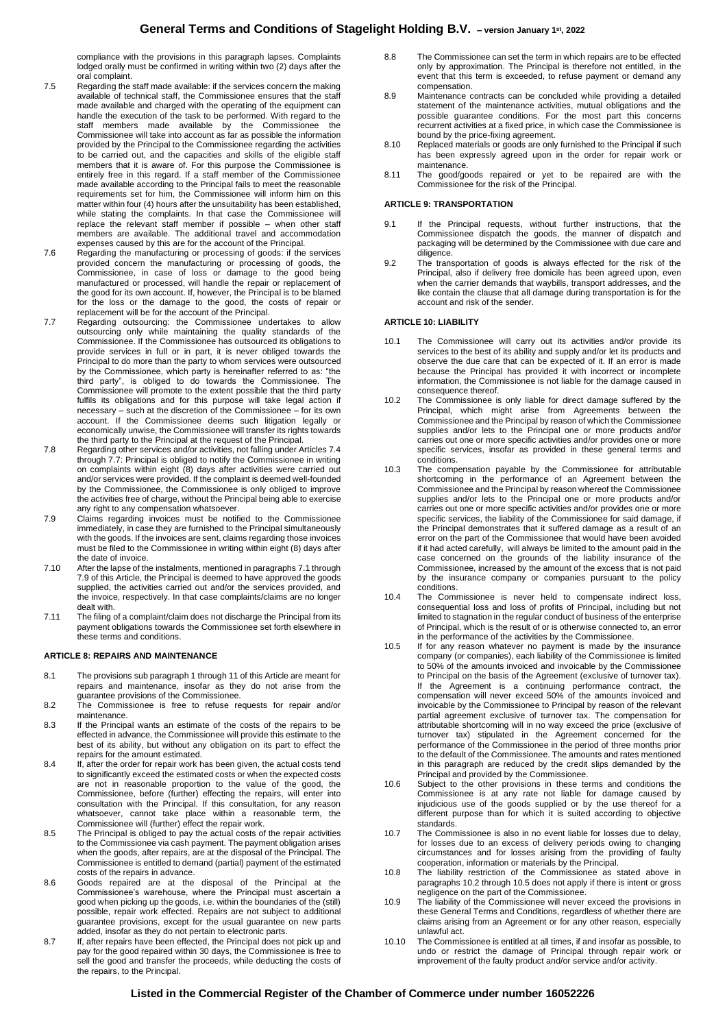compliance with the provisions in this paragraph lapses. Complaints lodged orally must be confirmed in writing within two (2) days after the oral complaint.

- 7.5 Regarding the staff made available: if the services concern the making available of technical staff, the Commissionee ensures that the staff made available and charged with the operating of the equipment can handle the execution of the task to be performed. With regard to the staff members made available by the Commissionee the Commissionee will take into account as far as possible the information provided by the Principal to the Commissionee regarding the activities to be carried out, and the capacities and skills of the eligible staff members that it is aware of. For this purpose the Commissionee is entirely free in this regard. If a staff member of the Commissionee made available according to the Principal fails to meet the reasonable requirements set for him, the Commissionee will inform him on this matter within four (4) hours after the unsuitability has been established, while stating the complaints. In that case the Commissionee will replace the relevant staff member if possible – when other staff members are available. The additional travel and accommodation expenses caused by this are for the account of the Principal.
- 7.6 Regarding the manufacturing or processing of goods: if the services provided concern the manufacturing or processing of goods, the Commissionee, in case of loss or damage to the good being manufactured or processed, will handle the repair or replacement of the good for its own account. If, however, the Principal is to be blamed for the loss or the damage to the good, the costs of repair or
- replacement will be for the account of the Principal. 7.7 Regarding outsourcing: the Commissionee undertakes to allow outsourcing only while maintaining the quality standards of the Commissionee. If the Commissionee has outsourced its obligations to provide services in full or in part, it is never obliged towards the Principal to do more than the party to whom services were outsourced by the Commissionee, which party is hereinafter referred to as: "the third party", is obliged to do towards the Commissionee. The Commissionee will promote to the extent possible that the third party fulfils its obligations and for this purpose will take legal action if necessary – such at the discretion of the Commissionee – for its own account. If the Commissionee deems such litigation legally or economically unwise, the Commissionee will transfer its rights towards the third party to the Principal at the request of the Principal.
- 7.8 Regarding other services and/or activities, not falling under Articles 7.4 through 7.7: Principal is obliged to notify the Commissionee in writing on complaints within eight (8) days after activities were carried out and/or services were provided. If the complaint is deemed well-founded by the Commissionee, the Commissionee is only obliged to improve the activities free of charge, without the Principal being able to exercise any right to any compensation whatsoever.
- 7.9 Claims regarding invoices must be notified to the Commissionee immediately, in case they are furnished to the Principal simultaneously with the goods. If the invoices are sent, claims regarding those invoices must be filed to the Commissionee in writing within eight (8) days after the date of invoice.
- 7.10 After the lapse of the instalments, mentioned in paragraphs 7.1 through 7.9 of this Article, the Principal is deemed to have approved the goods supplied, the activities carried out and/or the services provided, and the invoice, respectively. In that case complaints/claims are no longer dealt with.
- 7.11 The filing of a complaint/claim does not discharge the Principal from its payment obligations towards the Commissionee set forth elsewhere in these terms and conditions.

#### **ARTICLE 8: REPAIRS AND MAINTENANCE**

- 8.1 The provisions sub paragraph 1 through 11 of this Article are meant for repairs and maintenance, insofar as they do not arise from the guarantee provisions of the Commissionee.
- 8.2 The Commissionee is free to refuse requests for repair and/or maintenance.
- 8.3 If the Principal wants an estimate of the costs of the repairs to be effected in advance, the Commissionee will provide this estimate to the best of its ability, but without any obligation on its part to effect the repairs for the amount estimated.
- 8.4 If, after the order for repair work has been given, the actual costs tend to significantly exceed the estimated costs or when the expected costs are not in reasonable proportion to the value of the good, the Commissionee, before (further) effecting the repairs, will enter into consultation with the Principal. If this consultation, for any reason whatsoever, cannot take place within a reasonable term, the Commissionee will (further) effect the repair work.
- 8.5 The Principal is obliged to pay the actual costs of the repair activities to the Commissionee via cash payment. The payment obligation arises when the goods, after repairs, are at the disposal of the Principal. The Commissionee is entitled to demand (partial) payment of the estimated costs of the repairs in advance.
- 8.6 Goods repaired are at the disposal of the Principal at the Commissionee's warehouse, where the Principal must ascertain a good when picking up the goods, i.e. within the boundaries of the (still) possible, repair work effected. Repairs are not subject to additional guarantee provisions, except for the usual guarantee on new parts added, insofar as they do not pertain to electronic parts.
- 8.7 If, after repairs have been effected, the Principal does not pick up and pay for the good repaired within 30 days, the Commissionee is free to sell the good and transfer the proceeds, while deducting the costs of the repairs, to the Principal.
- 8.8 The Commissionee can set the term in which repairs are to be effected only by approximation. The Principal is therefore not entitled, in the event that this term is exceeded, to refuse payment or demand any compensation.
- 8.9 Maintenance contracts can be concluded while providing a detailed statement of the maintenance activities, mutual obligations and the possible guarantee conditions. For the most part this concerns recurrent activities at a fixed price, in which case the Commissionee is bound by the price-fixing agreement.
- 8.10 Replaced materials or goods are only furnished to the Principal if such has been expressly agreed upon in the order for repair work or maintenance.
- 8.11 The good/goods repaired or yet to be repaired are with the Commissionee for the risk of the Principal.

## **ARTICLE 9: TRANSPORTATION**

- 9.1 If the Principal requests, without further instructions, that the Commissionee dispatch the goods, the manner of dispatch and packaging will be determined by the Commissionee with due care and diligence.
- 9.2 The transportation of goods is always effected for the risk of the Principal, also if delivery free domicile has been agreed upon, even when the carrier demands that waybills, transport addresses, and the like contain the clause that all damage during transportation is for the account and risk of the sender.

#### **ARTICLE 10: LIABILITY**

- 10.1 The Commissionee will carry out its activities and/or provide its services to the best of its ability and supply and/or let its products and observe the due care that can be expected of it. If an error is made because the Principal has provided it with incorrect or incomplete information, the Commissionee is not liable for the damage caused in consequence thereof.
- 10.2 The Commissionee is only liable for direct damage suffered by the Principal, which might arise from Agreements between the Commissionee and the Principal by reason of which the Commissionee supplies and/or lets to the Principal one or more products and/or carries out one or more specific activities and/or provides one or more specific services, insofar as provided in these general terms and conditions.
- 10.3 The compensation payable by the Commissionee for attributable shortcoming in the performance of an Agreement between the Commissionee and the Principal by reason whereof the Commissionee supplies and/or lets to the Principal one or more products and/or carries out one or more specific activities and/or provides one or more specific services, the liability of the Commissionee for said damage, if the Principal demonstrates that it suffered damage as a result of an error on the part of the Commissionee that would have been avoided if it had acted carefully, will always be limited to the amount paid in the case concerned on the grounds of the liability insurance of the Commissionee, increased by the amount of the excess that is not paid by the insurance company or companies pursuant to the policy conditions.
- 10.4 The Commissionee is never held to compensate indirect loss, consequential loss and loss of profits of Principal, including but not limited to stagnation in the regular conduct of business of the enterprise of Principal, which is the result of or is otherwise connected to, an error in the performance of the activities by the Commissionee.
- 10.5 If for any reason whatever no payment is made by the insurance company (or companies), each liability of the Commissionee is limited to 50% of the amounts invoiced and invoicable by the Commissionee to Principal on the basis of the Agreement (exclusive of turnover tax). If the Agreement is a continuing performance contract, the compensation will never exceed 50% of the amounts invoiced and invoicable by the Commissionee to Principal by reason of the relevant partial agreement exclusive of turnover tax. The compensation for attributable shortcoming will in no way exceed the price (exclusive of turnover tax) stipulated in the Agreement concerned for the performance of the Commissionee in the period of three months prior to the default of the Commissionee. The amounts and rates mentioned in this paragraph are reduced by the credit slips demanded by the Principal and provided by the Commissionee.
- 10.6 Subject to the other provisions in these terms and conditions the Commissionee is at any rate not liable for damage caused by injudicious use of the goods supplied or by the use thereof for a different purpose than for which it is suited according to objective standards.
- 10.7 The Commissionee is also in no event liable for losses due to delay, for losses due to an excess of delivery periods owing to changing circumstances and for losses arising from the providing of faulty cooperation, information or materials by the Principal.
- 10.8 The liability restriction of the Commissionee as stated above in paragraphs 10.2 through 10.5 does not apply if there is intent or gross negligence on the part of the Commissionee.
- 10.9 The liability of the Commissionee will never exceed the provisions in these General Terms and Conditions, regardless of whether there are claims arising from an Agreement or for any other reason, especially unlawful act.
- 10.10 The Commissionee is entitled at all times, if and insofar as possible, to undo or restrict the damage of Principal through repair work or improvement of the faulty product and/or service and/or activity.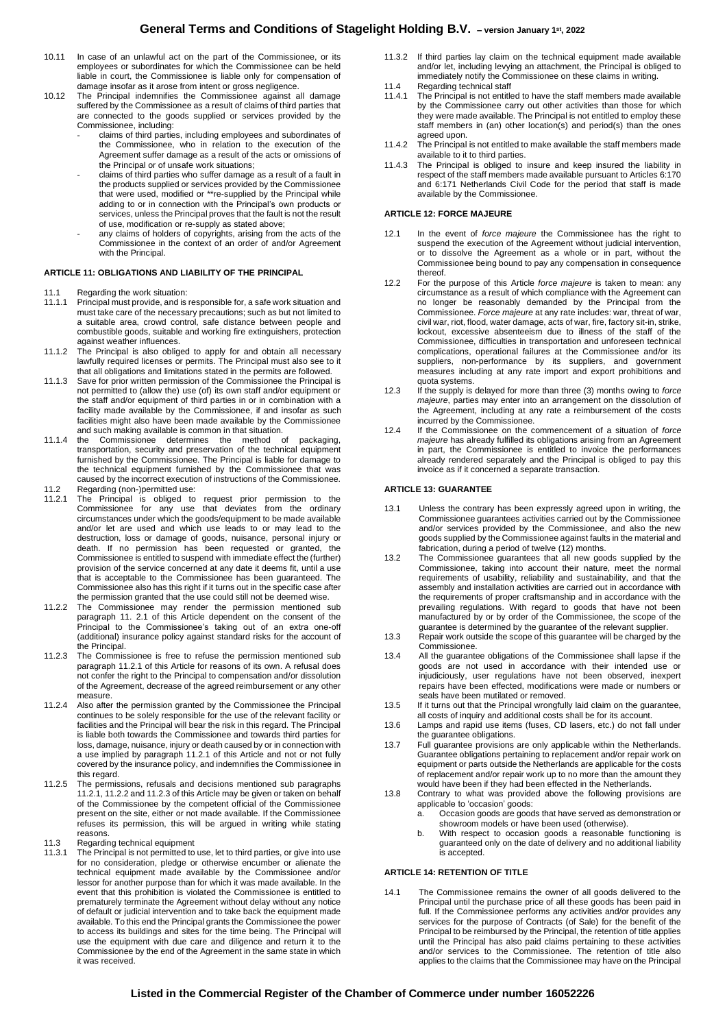# **General Terms and Conditions of Stagelight Holding B.V. – version January <sup>1</sup>st, 2022**

- 10.11 In case of an unlawful act on the part of the Commissionee, or its employees or subordinates for which the Commissionee can be held liable in court, the Commissionee is liable only for compensation of damage insofar as it arose from intent or gross negligence.
- 10.12 The Principal indemnifies the Commissionee against all damage suffered by the Commissionee as a result of claims of third parties that are connected to the goods supplied or services provided by the Commissionee, including:
	- claims of third parties, including employees and subordinates of the Commissionee, who in relation to the execution of the Agreement suffer damage as a result of the acts or omissions of the Principal or of unsafe work situations;
	- claims of third parties who suffer damage as a result of a fault in the products supplied or services provided by the Commissionee that were used, modified or \*\*re-supplied by the Principal while adding to or in connection with the Principal's own products or services, unless the Principal proves that the fault is not the result of use, modification or re-supply as stated above;
	- any claims of holders of copyrights, arising from the acts of the Commissionee in the context of an order of and/or Agreement with the Principal.

## **ARTICLE 11: OBLIGATIONS AND LIABILITY OF THE PRINCIPAL**

- 11.1 Regarding the work situation:
- 11.1.1 Principal must provide, and is responsible for, a safe work situation and must take care of the necessary precautions; such as but not limited to a suitable area, crowd control, safe distance between people and combustible goods, suitable and working fire extinguishers, protection against weather influences.
- 11.1.2 The Principal is also obliged to apply for and obtain all necessary lawfully required licenses or permits. The Principal must also see to it
- that all obligations and limitations stated in the permits are followed. 11.1.3 Save for prior written permission of the Commissionee the Principal is not permitted to (allow the) use (of) its own staff and/or equipment or the staff and/or equipment of third parties in or in combination with a facility made available by the Commissionee, if and insofar as such facilities might also have been made available by the Commissionee and such making available is common in that situation.
- 11.1.4 the Commissionee determines the method of packaging, transportation, security and preservation of the technical equipment furnished by the Commissionee. The Principal is liable for damage to the technical equipment furnished by the Commissionee that was caused by the incorrect execution of instructions of the Commissionee. 11.2 Regarding (non-)permitted use:
- 11.2.1 The Principal is obliged to request prior permission to the Commissionee for any use that deviates from the ordinary circumstances under which the goods/equipment to be made available and/or let are used and which use leads to or may lead to the destruction, loss or damage of goods, nuisance, personal injury or death. If no permission has been requested or granted, the Commissionee is entitled to suspend with immediate effect the (further) provision of the service concerned at any date it deems fit, until a use that is acceptable to the Commissionee has been guaranteed. The Commissionee also has this right if it turns out in the specific case after the permission granted that the use could still not be deemed wise.
- 11.2.2 The Commissionee may render the permission mentioned sub paragraph 11. 2.1 of this Article dependent on the consent of the Principal to the Commissionee's taking out of an extra one-off (additional) insurance policy against standard risks for the account of the Principal.
- 11.2.3 The Commissionee is free to refuse the permission mentioned sub paragraph 11.2.1 of this Article for reasons of its own. A refusal does not confer the right to the Principal to compensation and/or dissolution of the Agreement, decrease of the agreed reimbursement or any other measure.
- 11.2.4 Also after the permission granted by the Commissionee the Principal continues to be solely responsible for the use of the relevant facility or facilities and the Principal will bear the risk in this regard. The Principal is liable both towards the Commissionee and towards third parties for loss, damage, nuisance, injury or death caused by or in connection with a use implied by paragraph 11.2.1 of this Article and not or not fully covered by the insurance policy, and indemnifies the Commissionee in this regard.
- 11.2.5 The permissions, refusals and decisions mentioned sub paragraphs 11.2.1, 11.2.2 and 11.2.3 of this Article may be given or taken on behalf of the Commissionee by the competent official of the Commissionee present on the site, either or not made available. If the Commissionee refuses its permission, this will be argued in writing while stating reasons.
- 11.3 Regarding technical equipment<br>11.3.1 The Principal is not permitted to
- The Principal is not permitted to use, let to third parties, or give into use for no consideration, pledge or otherwise encumber or alienate the technical equipment made available by the Commissionee and/or lessor for another purpose than for which it was made available. In the event that this prohibition is violated the Commissionee is entitled to prematurely terminate the Agreement without delay without any notice of default or judicial intervention and to take back the equipment made available. To this end the Principal grants the Commissionee the power to access its buildings and sites for the time being. The Principal will use the equipment with due care and diligence and return it to the Commissionee by the end of the Agreement in the same state in which it was received.
- 11.3.2 If third parties lay claim on the technical equipment made available and/or let, including levying an attachment, the Principal is obliged to immediately notify the Commissionee on these claims in writing.
- 11.4 Regarding technical staff<br>11.4.1 The Principal is not entitle
- The Principal is not entitled to have the staff members made available by the Commissionee carry out other activities than those for which they were made available. The Principal is not entitled to employ these staff members in (an) other location(s) and period(s) than the ones agreed upon.
- 11.4.2 The Principal is not entitled to make available the staff members made available to it to third parties.
- 11.4.3 The Principal is obliged to insure and keep insured the liability in respect of the staff members made available pursuant to Articles 6:170 and 6:171 Netherlands Civil Code for the period that staff is made available by the Commissionee.

#### **ARTICLE 12: FORCE MAJEURE**

- 12.1 In the event of *force majeure* the Commissionee has the right to suspend the execution of the Agreement without judicial intervention, or to dissolve the Agreement as a whole or in part, without the Commissionee being bound to pay any compensation in consequence thereof.
- 12.2 For the purpose of this Article *force majeure* is taken to mean: any circumstance as a result of which compliance with the Agreement can no longer be reasonably demanded by the Principal from the Commissionee. *Force majeure* at any rate includes: war, threat of war, civil war, riot, flood, water damage, acts of war, fire, factory sit-in, strike, lockout, excessive absenteeism due to illness of the staff of the Commissionee, difficulties in transportation and unforeseen technical complications, operational failures at the Commissionee and/or its suppliers, non-performance by its suppliers, and government measures including at any rate import and export prohibitions and quota systems.
- 12.3 If the supply is delayed for more than three (3) months owing to *force majeure*, parties may enter into an arrangement on the dissolution of the Agreement, including at any rate a reimbursement of the costs incurred by the Commissionee.
- 12.4 If the Commissionee on the commencement of a situation of *force*  majeure has already fulfilled its obligations arising from an Agreement in part, the Commissionee is entitled to invoice the performances already rendered separately and the Principal is obliged to pay this invoice as if it concerned a separate transaction.

## **ARTICLE 13: GUARANTEE**

- 13.1 Unless the contrary has been expressly agreed upon in writing, the Commissionee guarantees activities carried out by the Commissionee and/or services provided by the Commissionee, and also the new goods supplied by the Commissionee against faults in the material and fabrication, during a period of twelve (12) months.
- 13.2 The Commissionee guarantees that all new goods supplied by the Commissionee, taking into account their nature, meet the normal requirements of usability, reliability and sustainability, and that the assembly and installation activities are carried out in accordance with the requirements of proper craftsmanship and in accordance with the prevailing regulations. With regard to goods that have not been manufactured by or by order of the Commissionee, the scope of the guarantee is determined by the guarantee of the relevant supplier.
- 13.3 Repair work outside the scope of this guarantee will be charged by the Commissionee.
- 13.4 All the guarantee obligations of the Commissionee shall lapse if the goods are not used in accordance with their intended use or injudiciously, user regulations have not been observed, inexpert repairs have been effected, modifications were made or numbers or seals have been mutilated or removed.
- 13.5 If it turns out that the Principal wrongfully laid claim on the guarantee, all costs of inquiry and additional costs shall be for its account.
- 13.6 Lamps and rapid use items (fuses, CD lasers, etc.) do not fall under the guarantee obligations.
- 13.7 Full guarantee provisions are only applicable within the Netherlands. Guarantee obligations pertaining to replacement and/or repair work on equipment or parts outside the Netherlands are applicable for the costs of replacement and/or repair work up to no more than the amount they would have been if they had been effected in the Netherlands.
- 13.8 Contrary to what was provided above the following provisions are applicable to 'occasion' goods:
	- a. Occasion goods are goods that have served as demonstration or showroom models or have been used (otherwise).
	- b. With respect to occasion goods a reasonable functioning is guaranteed only on the date of delivery and no additional liability is accepted.

# **ARTICLE 14: RETENTION OF TITLE**

14.1 The Commissionee remains the owner of all goods delivered to the Principal until the purchase price of all these goods has been paid in full. If the Commissionee performs any activities and/or provides any services for the purpose of Contracts (of Sale) for the benefit of the Principal to be reimbursed by the Principal, the retention of title applies until the Principal has also paid claims pertaining to these activities and/or services to the Commissionee. The retention of title also applies to the claims that the Commissionee may have on the Principal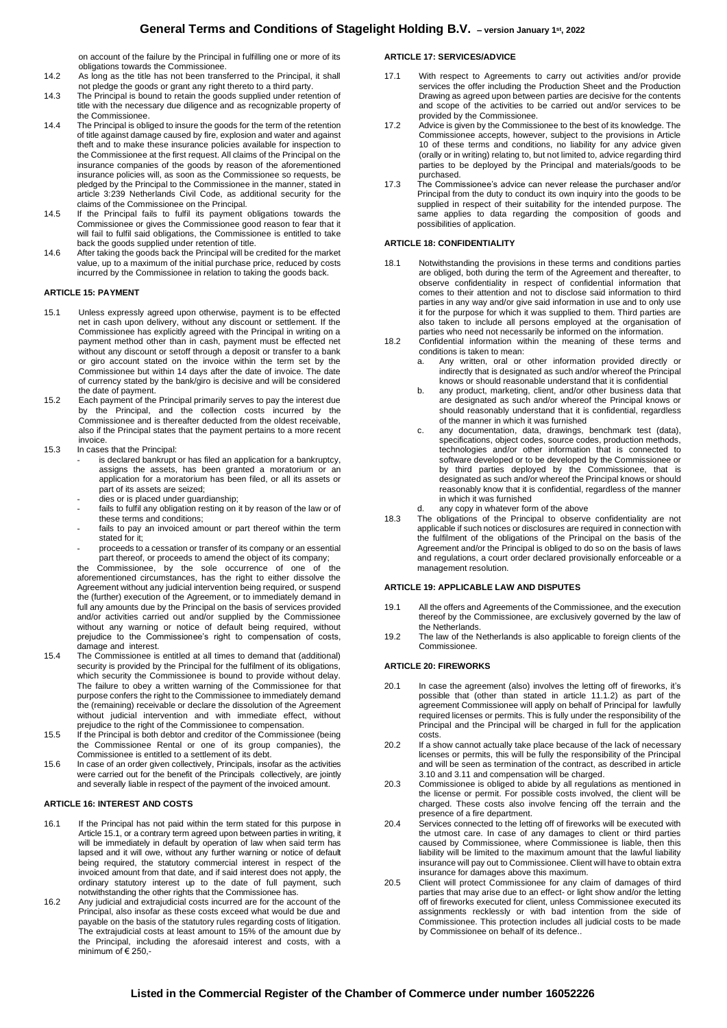# **General Terms and Conditions of Stagelight Holding B.V. – version January <sup>1</sup>st, 2022**

on account of the failure by the Principal in fulfilling one or more of its obligations towards the Commissionee.

- 14.2 As long as the title has not been transferred to the Principal, it shall not pledge the goods or grant any right thereto to a third party.
- 14.3 The Principal is bound to retain the goods supplied under retention of title with the necessary due diligence and as recognizable property of the Commissionee.
- 14.4 The Principal is obliged to insure the goods for the term of the retention of title against damage caused by fire, explosion and water and against theft and to make these insurance policies available for inspection to the Commissionee at the first request. All claims of the Principal on the insurance companies of the goods by reason of the aforementioned insurance policies will, as soon as the Commissionee so requests, be pledged by the Principal to the Commissionee in the manner, stated in article 3:239 Netherlands Civil Code, as additional security for the claims of the Commissionee on the Principal.
- 14.5 If the Principal fails to fulfil its payment obligations towards the Commissionee or gives the Commissionee good reason to fear that it will fail to fulfil said obligations, the Commissionee is entitled to take back the goods supplied under retention of title.
- 14.6 After taking the goods back the Principal will be credited for the market value, up to a maximum of the initial purchase price, reduced by costs incurred by the Commissionee in relation to taking the goods back.

#### **ARTICLE 15: PAYMENT**

- 15.1 Unless expressly agreed upon otherwise, payment is to be effected net in cash upon delivery, without any discount or settlement. If the Commissionee has explicitly agreed with the Principal in writing on a payment method other than in cash, payment must be effected net without any discount or setoff through a deposit or transfer to a bank or giro account stated on the invoice within the term set by the Commissionee but within 14 days after the date of invoice. The date of currency stated by the bank/giro is decisive and will be considered the date of payment.
- 15.2 Each payment of the Principal primarily serves to pay the interest due by the Principal, and the collection costs incurred by the Commissionee and is thereafter deducted from the oldest receivable, also if the Principal states that the payment pertains to a more recent invoice.
- 15.3 In cases that the Principal:
	- is declared bankrupt or has filed an application for a bankruptcy. assigns the assets, has been granted a moratorium or an application for a moratorium has been filed, or all its assets or part of its assets are seized;
	- dies or is placed under guardianship;
	- fails to fulfil any obligation resting on it by reason of the law or of these terms and conditions;
	- fails to pay an invoiced amount or part thereof within the term stated for it:
	- proceeds to a cessation or transfer of its company or an essential part thereof, or proceeds to amend the object of its company;

the Commissionee, by the sole occurrence of one of the aforementioned circumstances, has the right to either dissolve the Agreement without any judicial intervention being required, or suspend the (further) execution of the Agreement, or to immediately demand in full any amounts due by the Principal on the basis of services provided and/or activities carried out and/or supplied by the Commissionee without any warning or notice of default being required, without prejudice to the Commissionee's right to compensation of costs, damage and interest.

- 15.4 The Commissionee is entitled at all times to demand that (additional) security is provided by the Principal for the fulfilment of its obligations, which security the Commissionee is bound to provide without delay. The failure to obey a written warning of the Commissionee for that purpose confers the right to the Commissionee to immediately demand the (remaining) receivable or declare the dissolution of the Agreement without judicial intervention and with immediate effect, without prejudice to the right of the Commissionee to compensation.
- 15.5 If the Principal is both debtor and creditor of the Commissionee (being the Commissionee Rental or one of its group companies), the Commissionee is entitled to a settlement of its debt.
- 15.6 In case of an order given collectively, Principals, insofar as the activities were carried out for the benefit of the Principals collectively, are jointly and severally liable in respect of the payment of the invoiced amount.

#### **ARTICLE 16: INTEREST AND COSTS**

- 16.1 If the Principal has not paid within the term stated for this purpose in Article 15.1, or a contrary term agreed upon between parties in writing, it will be immediately in default by operation of law when said term has lapsed and it will owe, without any further warning or notice of default being required, the statutory commercial interest in respect of the invoiced amount from that date, and if said interest does not apply, the ordinary statutory interest up to the date of full payment, such notwithstanding the other rights that the Commissionee has.
- 16.2 Any judicial and extrajudicial costs incurred are for the account of the Principal, also insofar as these costs exceed what would be due and payable on the basis of the statutory rules regarding costs of litigation. The extrajudicial costs at least amount to 15% of the amount due by the Principal, including the aforesaid interest and costs, with a minimum of € 250,-

# **ARTICLE 17: SERVICES/ADVICE**

- 17.1 With respect to Agreements to carry out activities and/or provide services the offer including the Production Sheet and the Production Drawing as agreed upon between parties are decisive for the contents and scope of the activities to be carried out and/or services to be provided by the Commissionee.
- 17.2 Advice is given by the Commissionee to the best of its knowledge. The Commissionee accepts, however, subject to the provisions in Article 10 of these terms and conditions, no liability for any advice given (orally or in writing) relating to, but not limited to, advice regarding third parties to be deployed by the Principal and materials/goods to be purchased.
- 17.3 The Commissionee's advice can never release the purchaser and/or Principal from the duty to conduct its own inquiry into the goods to be supplied in respect of their suitability for the intended purpose. The same applies to data regarding the composition of goods and possibilities of application.

#### **ARTICLE 18: CONFIDENTIALITY**

- 18.1 Notwithstanding the provisions in these terms and conditions parties are obliged, both during the term of the Agreement and thereafter, to observe confidentiality in respect of confidential information that comes to their attention and not to disclose said information to third parties in any way and/or give said information in use and to only use it for the purpose for which it was supplied to them. Third parties are also taken to include all persons employed at the organisation of parties who need not necessarily be informed on the information.
- 18.2 Confidential information within the meaning of these terms and conditions is taken to mean:
	- a. Any written, oral or other information provided directly or indirectly that is designated as such and/or whereof the Principal knows or should reasonable understand that it is confidential
	- b. any product, marketing, client, and/or other business data that are designated as such and/or whereof the Principal knows or should reasonably understand that it is confidential, regardless of the manner in which it was furnished
	- c. any documentation, data, drawings, benchmark test (data), specifications, object codes, source codes, production methods, technologies and/or other information that is connected to software developed or to be developed by the Commissionee or by third parties deployed by the Commissionee, that is designated as such and/or whereof the Principal knows or should reasonably know that it is confidential, regardless of the manner in which it was furnished
	- d. any copy in whatever form of the above
- 18.3 The obligations of the Principal to observe confidentiality are not applicable if such notices or disclosures are required in connection with the fulfilment of the obligations of the Principal on the basis of the Agreement and/or the Principal is obliged to do so on the basis of laws and regulations, a court order declared provisionally enforceable or a management resolution.

#### **ARTICLE 19: APPLICABLE LAW AND DISPUTES**

- 19.1 All the offers and Agreements of the Commissionee, and the execution thereof by the Commissionee, are exclusively governed by the law of the Netherlands.
- 19.2 The law of the Netherlands is also applicable to foreign clients of the Commissionee.

#### **ARTICLE 20: FIREWORKS**

- 20.1 In case the agreement (also) involves the letting off of fireworks, it's possible that (other than stated in article 11.1.2) as part of the agreement Commissionee will apply on behalf of Principal for lawfully required licenses or permits. This is fully under the responsibility of the Principal and the Principal will be charged in full for the application costs.
- 20.2 If a show cannot actually take place because of the lack of necessary licenses or permits, this will be fully the responsibility of the Principal and will be seen as termination of the contract, as described in article 3.10 and 3.11 and compensation will be charged.
- 20.3 Commissionee is obliged to abide by all regulations as mentioned in the license or permit. For possible costs involved, the client will be charged. These costs also involve fencing off the terrain and the presence of a fire department.
- 20.4 Services connected to the letting off of fireworks will be executed with the utmost care. In case of any damages to client or third parties caused by Commissionee, where Commissionee is liable, then this liability will be limited to the maximum amount that the lawful liability insurance will pay out to Commissionee. Client will have to obtain extra insurance for damages above this maximum.
- 20.5 Client will protect Commissionee for any claim of damages of third parties that may arise due to an effect- or light show and/or the letting off of fireworks executed for client, unless Commissionee executed its assignments recklessly or with bad intention from the side of Commissionee. This protection includes all judicial costs to be made by Commissionee on behalf of its defence.